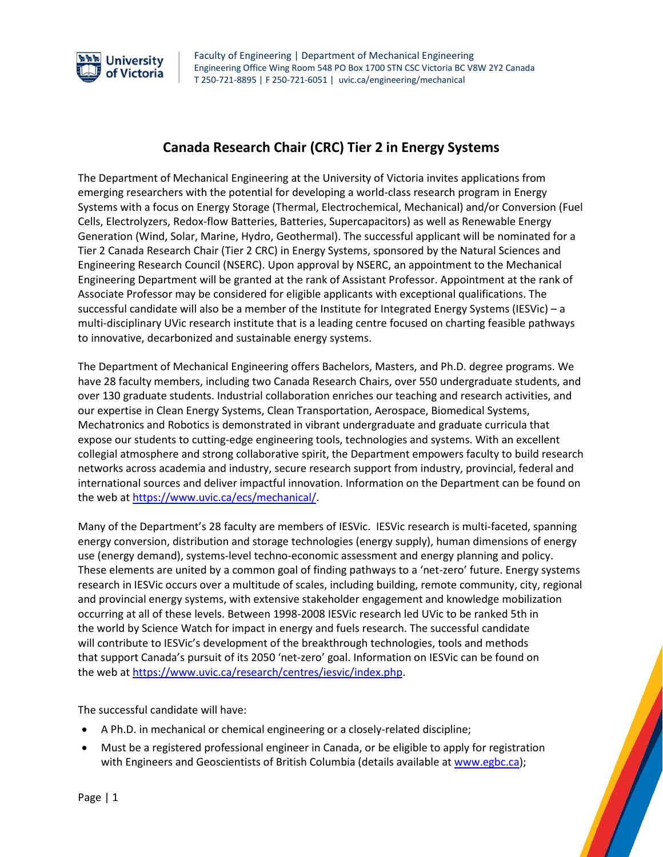

## **Canada Research Chair (CRC) Tier 2 in Energy Systems**

The Department of Mechanical Engineering at the University of Victoria invites applications from emerging researchers with the potential for developing a world-class research program in Energy Systems with a focus on Energy Storage (Thermal, Electrochemical, Mechanical) and/or Conversion (Fuel Cells, Electrolyzers, Redox-flow Batteries, Batteries, Supercapacitors) as well as Renewable Energy Generation (Wind, Solar, Marine, Hydro, Geothermal). The successful applicant will be nominated for a Tier 2 Canada Research Chair (Tier 2 CRC) in Energy Systems, sponsored by the Natural Sciences and Engineering Research Council (NSERC). Upon approval by NSERC, an appointment to the Mechanical Engineering Department will be granted at the rank of Assistant Professor. Appointment at the rank of Associate Professor may be considered for eligible applicants with exceptional qualifications. The successful candidate will also be a member of the Institute for Integrated Energy Systems (IESVic) – a multi-disciplinary UVic research institute that is a leading centre focused on charting feasible pathways to innovative, decarbonized and sustainable energy systems.

The Department of Mechanical Engineering offers Bachelors, Masters, and Ph.D. degree programs. We have 28 faculty members, including two Canada Research Chairs, over 550 undergraduate students, and over 130 graduate students. Industrial collaboration enriches our teaching and research activities, and our expertise in Clean Energy Systems, Clean Transportation, Aerospace, Biomedical Systems, Mechatronics and Robotics is demonstrated in vibrant undergraduate and graduate curricula that expose our students to cutting-edge engineering tools, technologies and systems. With an excellent collegial atmosphere and strong collaborative spirit, the Department empowers faculty to build research networks across academia and industry, secure research support from industry, provincial, federal and international sources and deliver impactful innovation. Information on the Department can be found on the web at [https://www.uvic.ca/ecs/mechanical/.](https://www.uvic.ca/ecs/mechanical/)

Many of the Department's 28 faculty are members of IESVic. IESVic research is multi-faceted, spanning energy conversion, distribution and storage technologies (energy supply), human dimensions of energy use (energy demand), systems-level techno-economic assessment and energy planning and policy. These elements are united by a common goal of finding pathways to a 'net-zero' future. Energy systems research in IESVic occurs over a multitude of scales, including building, remote community, city, regional and provincial energy systems, with extensive stakeholder engagement and knowledge mobilization occurring at all of these levels. Between 1998-2008 IESVic research led UVic to be ranked 5th in the world by Science Watch for impact in energy and fuels research. The successful candidate will contribute to IESVic's development of the breakthrough technologies, tools and methods that support Canada's pursuit of its 2050 'net-zero' goal. Information on IESVic can be found on the web a[t https://www.uvic.ca/research/centres/iesvic/index.php.](https://www.uvic.ca/research/centres/iesvic/index.php)

The successful candidate will have:

- A Ph.D. in mechanical or chemical engineering or a closely-related discipline;
- Must be a registered professional engineer in Canada, or be eligible to apply for registration with Engineers and Geoscientists of British Columbia (details available a[t www.egbc.ca\)](http://www.egbc.ca/);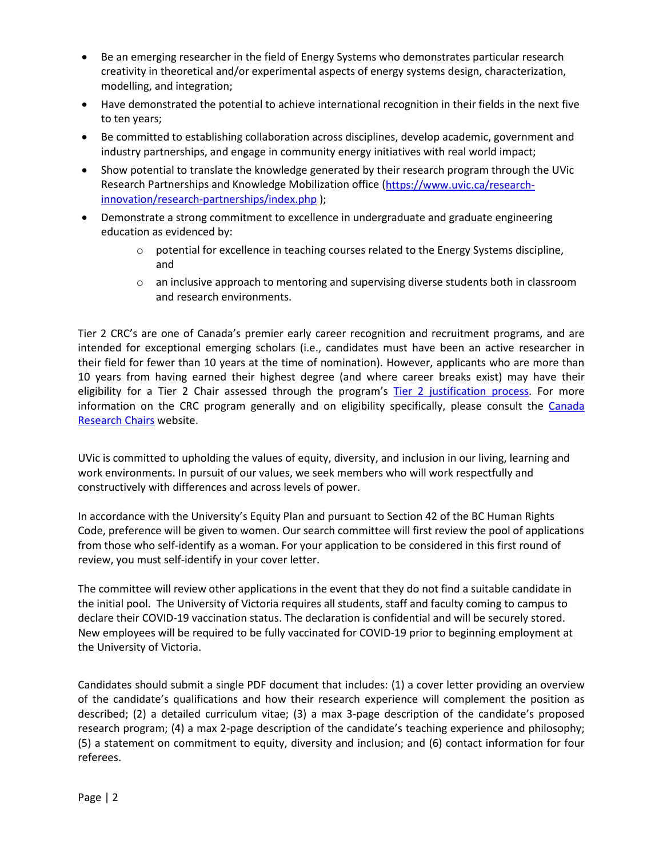- Be an emerging researcher in the field of Energy Systems who demonstrates particular research creativity in theoretical and/or experimental aspects of energy systems design, characterization, modelling, and integration;
- Have demonstrated the potential to achieve international recognition in their fields in the next five to ten years;
- Be committed to establishing collaboration across disciplines, develop academic, government and industry partnerships, and engage in community energy initiatives with real world impact;
- Show potential to translate the knowledge generated by their research program through the UVic Research Partnerships and Knowledge Mobilization office [\(https://www.uvic.ca/research](https://www.uvic.ca/research-innovation/research-partnerships/index.php)[innovation/research-partnerships/index.php](https://www.uvic.ca/research-innovation/research-partnerships/index.php) );
- Demonstrate a strong commitment to excellence in undergraduate and graduate engineering education as evidenced by:
	- $\circ$  potential for excellence in teaching courses related to the Energy Systems discipline, and
	- $\circ$  an inclusive approach to mentoring and supervising diverse students both in classroom and research environments.

Tier 2 CRC's are one of Canada's premier early career recognition and recruitment programs, and are intended for exceptional emerging scholars (i.e., candidates must have been an active researcher in their field for fewer than 10 years at the time of nomination). However, applicants who are more than 10 years from having earned their highest degree (and where career breaks exist) may have their eligibility for a Tier 2 Chair assessed through the program's [Tier 2 justification process.](http://www.chairs-chaires.gc.ca/program-programme/nomination-mise_en_candidature-eng.aspx#s3) For more information on the CRC program generally and on eligibility specifically, please consult the Canada [Research Chairs](https://www.chairs-chaires.gc.ca/home-accueil-eng.aspx) website.

UVic is committed to upholding the values of equity, diversity, and inclusion in our living, learning and work environments. In pursuit of our values, we seek members who will work respectfully and constructively with differences and across levels of power.

In accordance with the University's Equity Plan and pursuant to Section 42 of the BC Human Rights Code, preference will be given to women. Our search committee will first review the pool of applications from those who self-identify as a woman. For your application to be considered in this first round of review, you must self-identify in your cover letter.

The committee will review other applications in the event that they do not find a suitable candidate in the initial pool. The University of Victoria requires all students, staff and faculty coming to campus to declare their COVID-19 vaccination status. The declaration is confidential and will be securely stored. New employees will be required to be fully vaccinated for COVID-19 prior to beginning employment at the University of Victoria.

Candidates should submit a single PDF document that includes: (1) a cover letter providing an overview of the candidate's qualifications and how their research experience will complement the position as described; (2) a detailed curriculum vitae; (3) a max 3-page description of the candidate's proposed research program; (4) a max 2-page description of the candidate's teaching experience and philosophy; (5) a statement on commitment to equity, diversity and inclusion; and (6) contact information for four referees.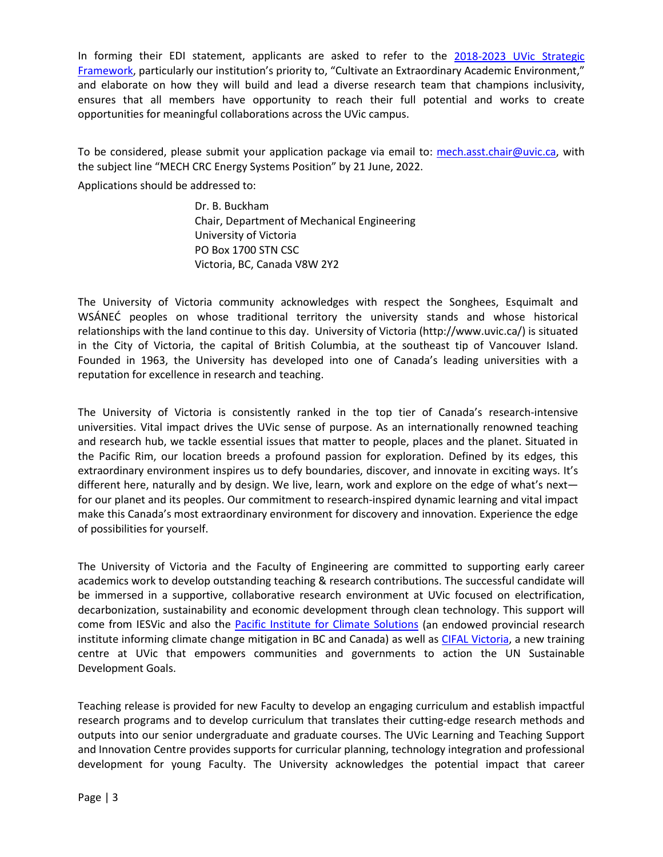In forming their EDI statement, applicants are asked to refer to the [2018-2023 UVic Strategic](https://www.uvic.ca/strategicframework/assets/docs/strategic-framework-2018.pdf)  [Framework,](https://www.uvic.ca/strategicframework/assets/docs/strategic-framework-2018.pdf) particularly our institution's priority to, "Cultivate an Extraordinary Academic Environment," and elaborate on how they will build and lead a diverse research team that champions inclusivity, ensures that all members have opportunity to reach their full potential and works to create opportunities for meaningful collaborations across the UVic campus.

To be considered, please submit your application package via email to: [mech.asst.chair@uvic.ca,](mailto:mech.asst.chair@uvic.ca) with the subject line "MECH CRC Energy Systems Position" by 21 June, 2022.

Applications should be addressed to:

Dr. B. Buckham Chair, Department of Mechanical Engineering University of Victoria PO Box 1700 STN CSC Victoria, BC, Canada V8W 2Y2

The University of Victoria community acknowledges with respect the Songhees, Esquimalt and WSÁNEĆ peoples on whose traditional territory the university stands and whose historical relationships with the land continue to this day. University of Victoria (http://www.uvic.ca/) is situated in the City of Victoria, the capital of British Columbia, at the southeast tip of Vancouver Island. Founded in 1963, the University has developed into one of Canada's leading universities with a reputation for excellence in research and teaching.

The University of Victoria is consistently ranked in the top tier of Canada's research-intensive universities. Vital impact drives the UVic sense of purpose. As an internationally renowned teaching and research hub, we tackle essential issues that matter to people, places and the planet. Situated in the Pacific Rim, our location breeds a profound passion for exploration. Defined by its edges, this extraordinary environment inspires us to defy boundaries, discover, and innovate in exciting ways. It's different here, naturally and by design. We live, learn, work and explore on the edge of what's next for our planet and its peoples. Our commitment to research-inspired dynamic learning and vital impact make this Canada's most extraordinary environment for discovery and innovation. Experience the edge of possibilities for yourself.

The University of Victoria and the Faculty of Engineering are committed to supporting early career academics work to develop outstanding teaching & research contributions. The successful candidate will be immersed in a supportive, collaborative research environment at UVic focused on electrification, decarbonization, sustainability and economic development through clean technology. This support will come from IESVic and also the [Pacific Institute for Climate Solutions](https://pics.uvic.ca/) (an endowed provincial research institute informing climate change mitigation in BC and Canada) as well as [CIFAL Victoria,](https://www.uvic.ca/international/resources/intl-sdgs/index.php) a new training centre at UVic that empowers communities and governments to action the UN Sustainable Development Goals.

Teaching release is provided for new Faculty to develop an engaging curriculum and establish impactful research programs and to develop curriculum that translates their cutting-edge research methods and outputs into our senior undergraduate and graduate courses. The UVic Learning and Teaching Support and Innovation Centre provides supports for curricular planning, technology integration and professional development for young Faculty. The University acknowledges the potential impact that career